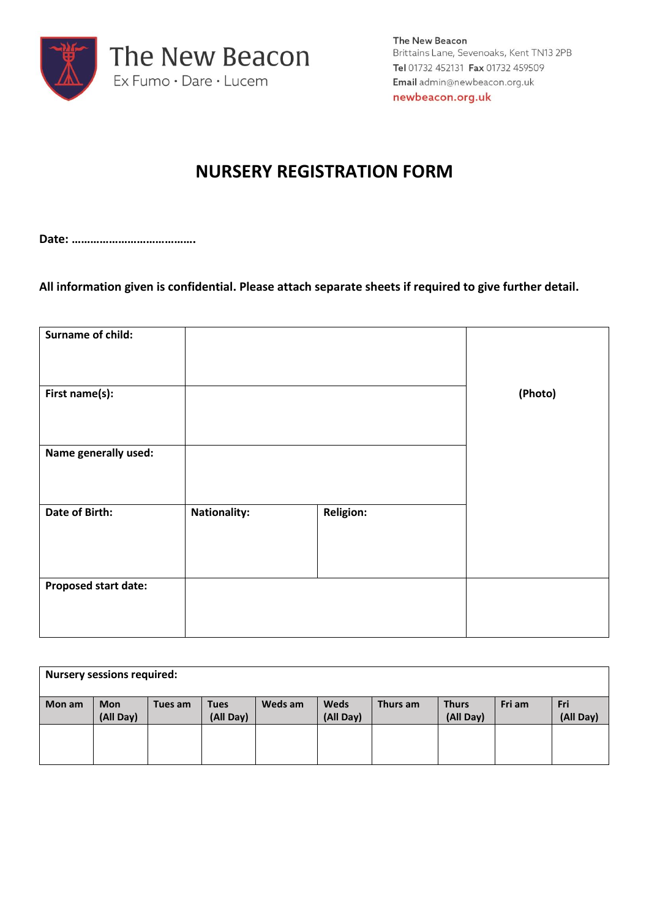

The New Beacon Brittains Lane, Sevenoaks, Kent TN13 2PB Tel 01732 452131 Fax 01732 459509 Email admin@newbeacon.org.uk newbeacon.org.uk

# **NURSERY REGISTRATION FORM**

**Date: ………………………………….**

**All information given is confidential. Please attach separate sheets if required to give further detail.**

| Surname of child:           |                     |                  |         |
|-----------------------------|---------------------|------------------|---------|
|                             |                     |                  |         |
|                             |                     |                  |         |
|                             |                     |                  |         |
|                             |                     |                  |         |
|                             |                     |                  |         |
| First name(s):              |                     |                  | (Photo) |
|                             |                     |                  |         |
|                             |                     |                  |         |
|                             |                     |                  |         |
|                             |                     |                  |         |
| Name generally used:        |                     |                  |         |
|                             |                     |                  |         |
|                             |                     |                  |         |
|                             |                     |                  |         |
|                             |                     |                  |         |
| Date of Birth:              | <b>Nationality:</b> | <b>Religion:</b> |         |
|                             |                     |                  |         |
|                             |                     |                  |         |
|                             |                     |                  |         |
|                             |                     |                  |         |
|                             |                     |                  |         |
| <b>Proposed start date:</b> |                     |                  |         |
|                             |                     |                  |         |
|                             |                     |                  |         |
|                             |                     |                  |         |
|                             |                     |                  |         |
|                             |                     |                  |         |

| <b>Nursery sessions required:</b> |            |         |             |         |             |          |              |        |           |
|-----------------------------------|------------|---------|-------------|---------|-------------|----------|--------------|--------|-----------|
|                                   |            |         |             |         |             |          |              |        |           |
| Mon am                            | <b>Mon</b> | Tues am | <b>Tues</b> | Weds am | <b>Weds</b> | Thurs am | <b>Thurs</b> | Fri am | Fri       |
|                                   | (All Day)  |         | (All Day)   |         | (All Day)   |          | (All Day)    |        | (All Day) |
|                                   |            |         |             |         |             |          |              |        |           |
|                                   |            |         |             |         |             |          |              |        |           |
|                                   |            |         |             |         |             |          |              |        |           |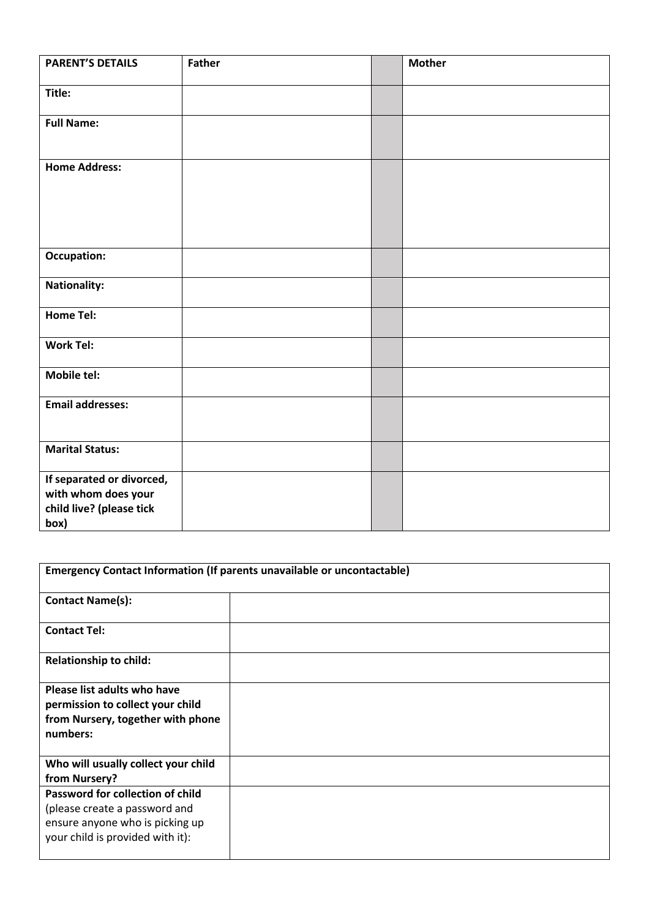| <b>PARENT'S DETAILS</b>   | <b>Father</b> | <b>Mother</b> |
|---------------------------|---------------|---------------|
| Title:                    |               |               |
|                           |               |               |
| <b>Full Name:</b>         |               |               |
|                           |               |               |
| <b>Home Address:</b>      |               |               |
|                           |               |               |
|                           |               |               |
|                           |               |               |
| <b>Occupation:</b>        |               |               |
|                           |               |               |
| <b>Nationality:</b>       |               |               |
| <b>Home Tel:</b>          |               |               |
|                           |               |               |
| <b>Work Tel:</b>          |               |               |
| <b>Mobile tel:</b>        |               |               |
| <b>Email addresses:</b>   |               |               |
|                           |               |               |
|                           |               |               |
| <b>Marital Status:</b>    |               |               |
| If separated or divorced, |               |               |
| with whom does your       |               |               |
| child live? (please tick  |               |               |
| box)                      |               |               |

| Emergency Contact Information (If parents unavailable or uncontactable)                                                                  |  |  |  |  |
|------------------------------------------------------------------------------------------------------------------------------------------|--|--|--|--|
| <b>Contact Name(s):</b>                                                                                                                  |  |  |  |  |
| <b>Contact Tel:</b>                                                                                                                      |  |  |  |  |
| <b>Relationship to child:</b>                                                                                                            |  |  |  |  |
| Please list adults who have<br>permission to collect your child<br>from Nursery, together with phone<br>numbers:                         |  |  |  |  |
| Who will usually collect your child<br>from Nursery?                                                                                     |  |  |  |  |
| Password for collection of child<br>(please create a password and<br>ensure anyone who is picking up<br>your child is provided with it): |  |  |  |  |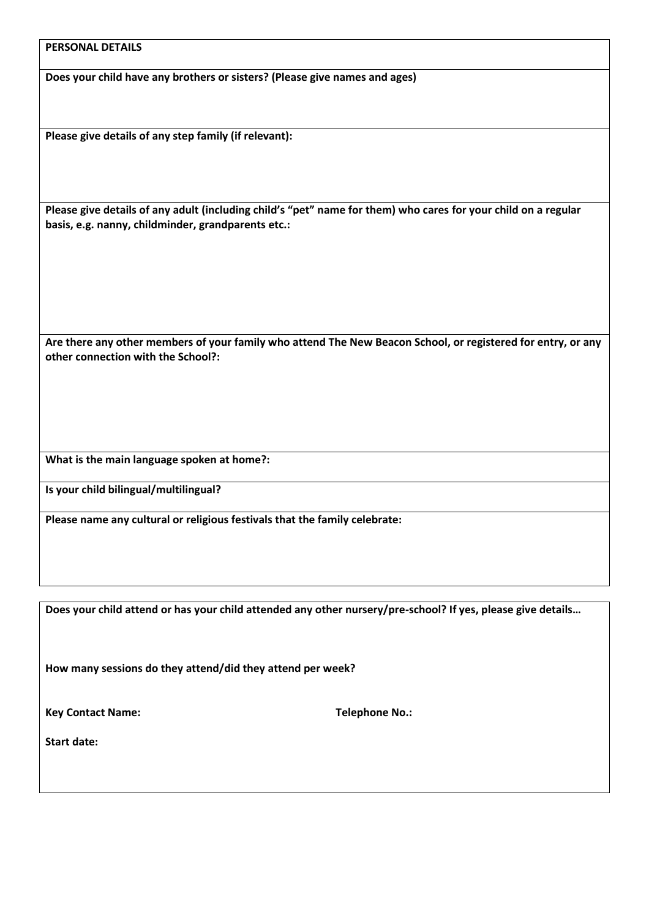#### **PERSONAL DETAILS**

**Does your child have any brothers or sisters? (Please give names and ages)**

**Please give details of any step family (if relevant):**

**Please give details of any adult (including child's "pet" name for them) who cares for your child on a regular basis, e.g. nanny, childminder, grandparents etc.:**

**Are there any other members of your family who attend The New Beacon School, or registered for entry, or any other connection with the School?:**

**What is the main language spoken at home?:**

**Is your child bilingual/multilingual?**

**Please name any cultural or religious festivals that the family celebrate:**

**Does your child attend or has your child attended any other nursery/pre-school? If yes, please give details…**

**How many sessions do they attend/did they attend per week?**

Key Contact Name: Telephone No.:

**Start date:**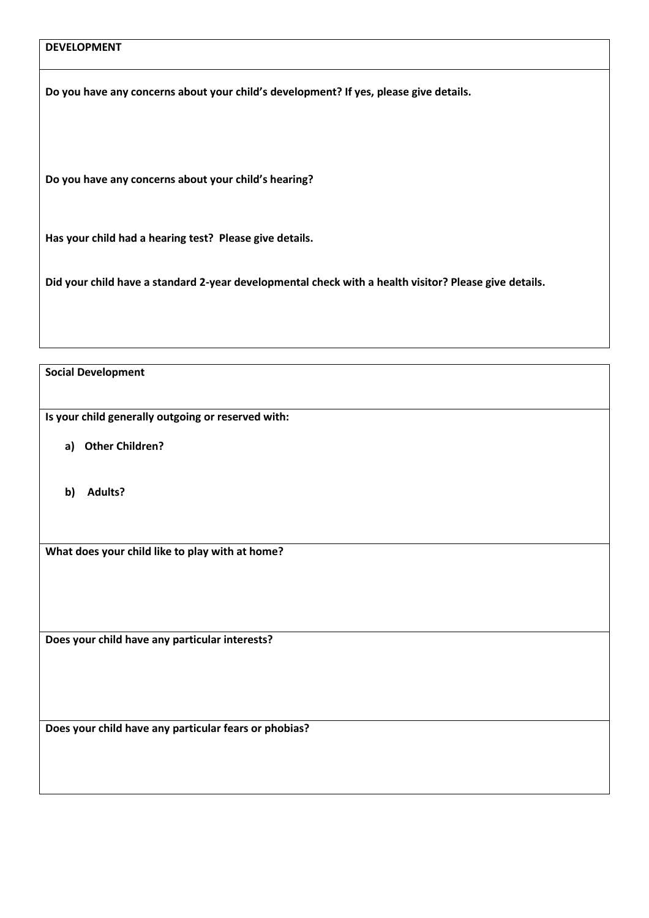## **DEVELOPMENT**

**Do you have any concerns about your child's development? If yes, please give details.**

**Do you have any concerns about your child's hearing?**

**Has your child had a hearing test? Please give details.**

**Did your child have a standard 2-year developmental check with a health visitor? Please give details.**

**Social Development**

**Is your child generally outgoing or reserved with:**

- **a) Other Children?**
- **b) Adults?**

**What does your child like to play with at home?**

**Does your child have any particular interests?**

**Does your child have any particular fears or phobias?**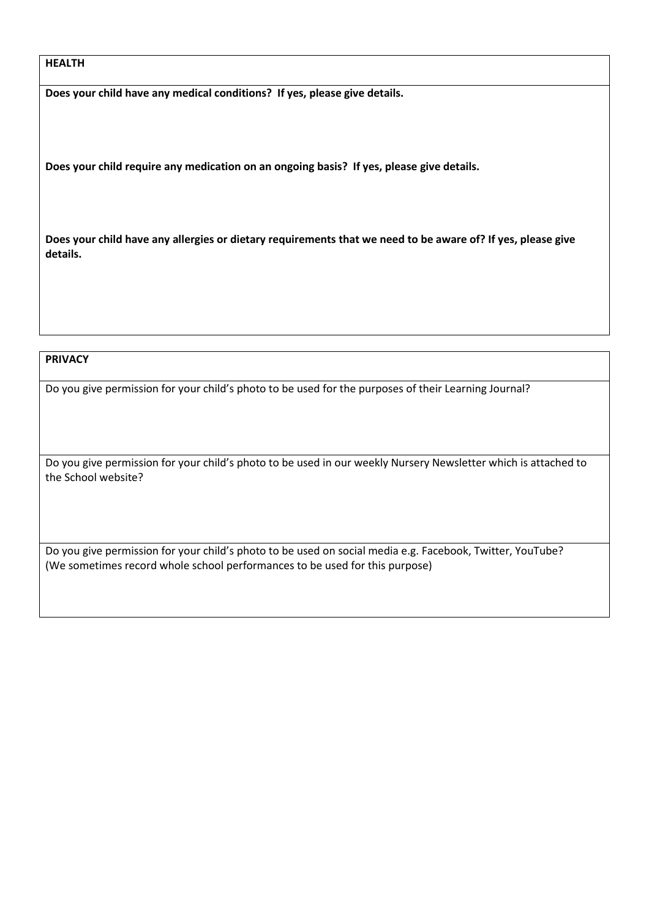#### **HEALTH**

**Does your child have any medical conditions? If yes, please give details.**

**Does your child require any medication on an ongoing basis? If yes, please give details.**

**Does your child have any allergies or dietary requirements that we need to be aware of? If yes, please give details.**

### **PRIVACY**

Do you give permission for your child's photo to be used for the purposes of their Learning Journal?

Do you give permission for your child's photo to be used in our weekly Nursery Newsletter which is attached to the School website?

Do you give permission for your child's photo to be used on social media e.g. Facebook, Twitter, YouTube? (We sometimes record whole school performances to be used for this purpose)